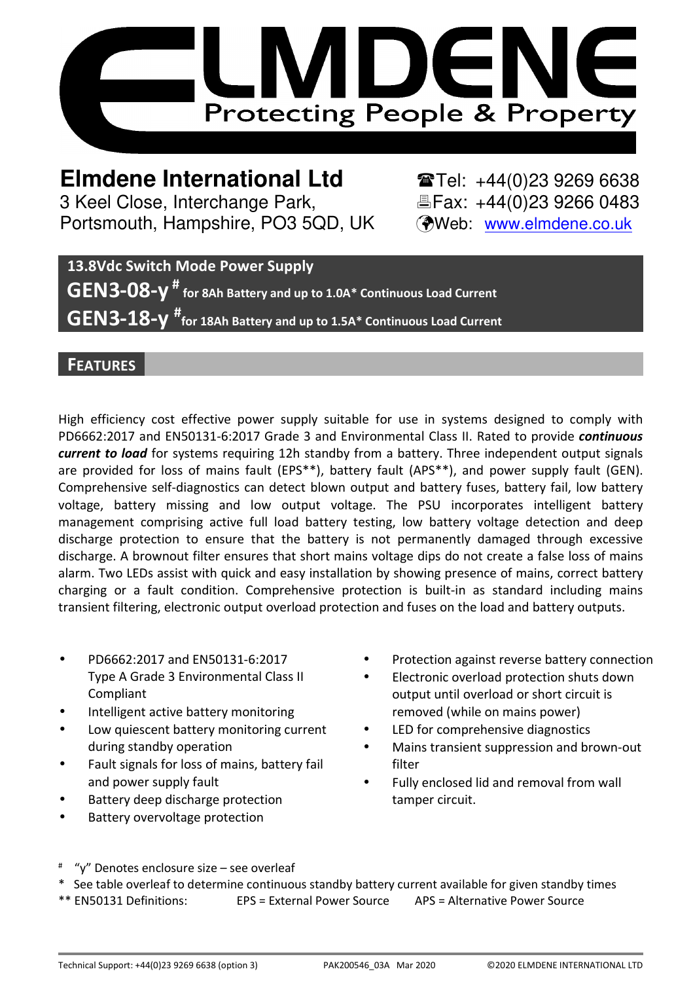

**Elmdene International Ltd** <br> **Elmdene International Ltd** <br> **Elmdene** International Ltd 3 Keel Close, Interchange Park, Eleax: +44(0)23 9266 0483 Portsmouth, Hampshire, PO3 5QD, UK (Web: www.elmdene.co.uk

**13.8Vdc Switch Mode Power Supply GEN3-08-y # for 8Ah Battery and up to 1.0A\* Continuous Load Current GEN3-18-y # for 18Ah Battery and up to 1.5A\* Continuous Load Current**

### **FEATURES**

High efficiency cost effective power supply suitable for use in systems designed to comply with PD6662:2017 and EN50131-6:2017 Grade 3 and Environmental Class II. Rated to provide *continuous current to load* for systems requiring 12h standby from a battery. Three independent output signals are provided for loss of mains fault (EPS\*\*), battery fault (APS\*\*), and power supply fault (GEN). Comprehensive self-diagnostics can detect blown output and battery fuses, battery fail, low battery voltage, battery missing and low output voltage. The PSU incorporates intelligent battery management comprising active full load battery testing, low battery voltage detection and deep discharge protection to ensure that the battery is not permanently damaged through excessive discharge. A brownout filter ensures that short mains voltage dips do not create a false loss of mains alarm. Two LEDs assist with quick and easy installation by showing presence of mains, correct battery charging or a fault condition. Comprehensive protection is built-in as standard including mains transient filtering, electronic output overload protection and fuses on the load and battery outputs.

- PD6662:2017 and EN50131-6:2017 Type A Grade 3 Environmental Class II Compliant
- Intelligent active battery monitoring
- Low quiescent battery monitoring current during standby operation
- Fault signals for loss of mains, battery fail and power supply fault
- Battery deep discharge protection
- Battery overvoltage protection
- Protection against reverse battery connection
- Electronic overload protection shuts down output until overload or short circuit is removed (while on mains power)
- LED for comprehensive diagnostics
- Mains transient suppression and brown-out filter
- Fully enclosed lid and removal from wall tamper circuit.
- # "y" Denotes enclosure size – see overleaf
- \* See table overleaf to determine continuous standby battery current available for given standby times
- \*\* EN50131 Definitions: EPS = External Power Source APS = Alternative Power Source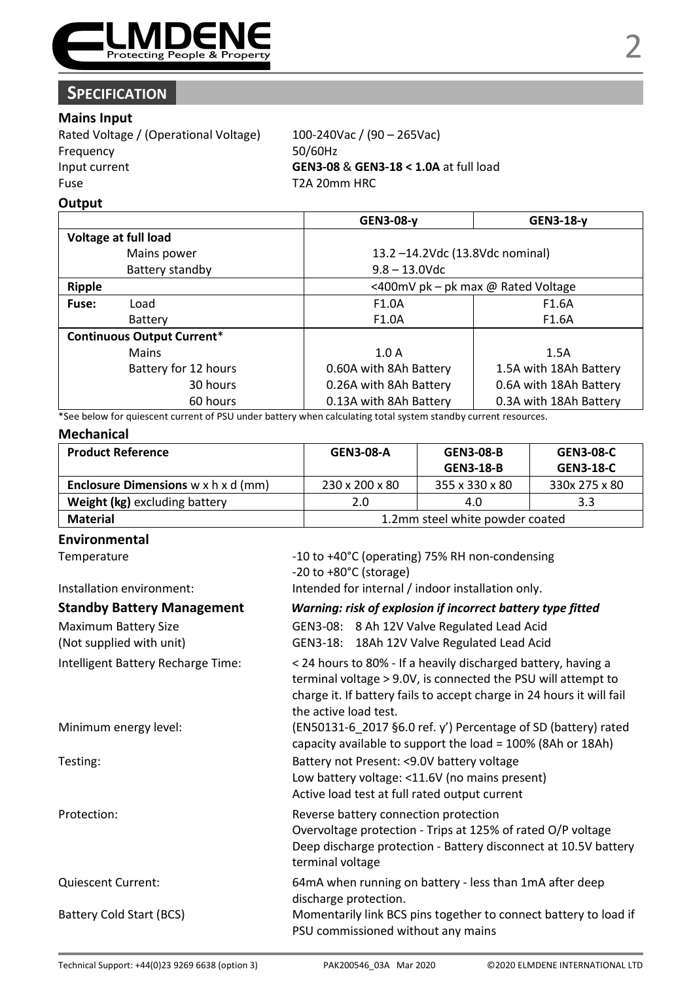

# **SPECIFICATION**

#### **Mains Input**

Rated Voltage / (Operational Voltage) 100-240Vac / (90 – 265Vac) Frequency 50/60Hz Input current **GEN3-08** & **GEN3-18 < 1.0A** at full load Fuse T2A 20mm HRC

#### **Output**

|                                   | GEN3-08-v                          | GEN3-18-v              |
|-----------------------------------|------------------------------------|------------------------|
| Voltage at full load              |                                    |                        |
| Mains power                       | 13.2-14.2Vdc (13.8Vdc nominal)     |                        |
| Battery standby                   | $9.8 - 13.0$ Vdc                   |                        |
| Ripple                            | <400mV pk - pk max @ Rated Voltage |                        |
| Fuse:<br>Load                     | F1.0A                              | F1.6A                  |
| Battery                           | F1.0A                              | F1.6A                  |
| <b>Continuous Output Current*</b> |                                    |                        |
| Mains                             | 1.0A                               | 1.5A                   |
| Battery for 12 hours              | 0.60A with 8Ah Battery             | 1.5A with 18Ah Battery |
| 30 hours                          | 0.26A with 8Ah Battery             | 0.6A with 18Ah Battery |
| 60 hours                          | 0.13A with 8Ah Battery             | 0.3A with 18Ah Battery |

\*See below for quiescent current of PSU under battery when calculating total system standby current resources.

#### **Mechanical**

| <b>Product Reference</b>                               | <b>GEN3-08-A</b>                | <b>GEN3-08-B</b> | <b>GEN3-08-C</b> |
|--------------------------------------------------------|---------------------------------|------------------|------------------|
|                                                        |                                 | <b>GEN3 18 B</b> | <b>GEN3-18-C</b> |
| <b>Enclosure Dimensions</b> $w \times h \times d$ (mm) | 230 x 200 x 80                  | 355 x 330 x 80   | 330x 275 x 80    |
| Weight (kg) excluding battery                          | 2.0                             | 4.0              | 3.3              |
| Material                                               | 1.2mm steel white powder coated |                  |                  |

#### **Environmental**

Temperature  $-10$  to +40°C (operating) 75% RH non-condensing

-20 to +80°C (storage) Installation environment: Intended for internal / indoor installation only. **Standby Battery Management** *Warning: risk of explosion if incorrect battery type fitted* 

| Maximum Battery Size<br>(Not supplied with unit) | GEN3-08: 8 Ah 12V Valve Regulated Lead Acid<br>GEN3-18: 18Ah 12V Valve Regulated Lead Acid                                                                                                                                       |  |
|--------------------------------------------------|----------------------------------------------------------------------------------------------------------------------------------------------------------------------------------------------------------------------------------|--|
| Intelligent Battery Recharge Time:               | < 24 hours to 80% - If a heavily discharged battery, having a<br>terminal voltage > 9.0V, is connected the PSU will attempt to<br>charge it. If battery fails to accept charge in 24 hours it will fail<br>the active load test. |  |
| Minimum energy level:                            | (EN50131-6 2017 §6.0 ref. y') Percentage of SD (battery) rated<br>capacity available to support the load = 100% (8Ah or 18Ah)                                                                                                    |  |
| Testing:                                         | Battery not Present: <9.0V battery voltage<br>Low battery voltage: <11.6V (no mains present)<br>Active load test at full rated output current                                                                                    |  |
| Protection:                                      | Reverse battery connection protection<br>Overvoltage protection - Trips at 125% of rated O/P voltage<br>Deep discharge protection - Battery disconnect at 10.5V battery<br>terminal voltage                                      |  |
| <b>Quiescent Current:</b>                        | 64mA when running on battery - less than 1mA after deep<br>discharge protection.                                                                                                                                                 |  |
| Battery Cold Start (BCS)                         | Momentarily link BCS pins together to connect battery to load if<br>PSU commissioned without any mains                                                                                                                           |  |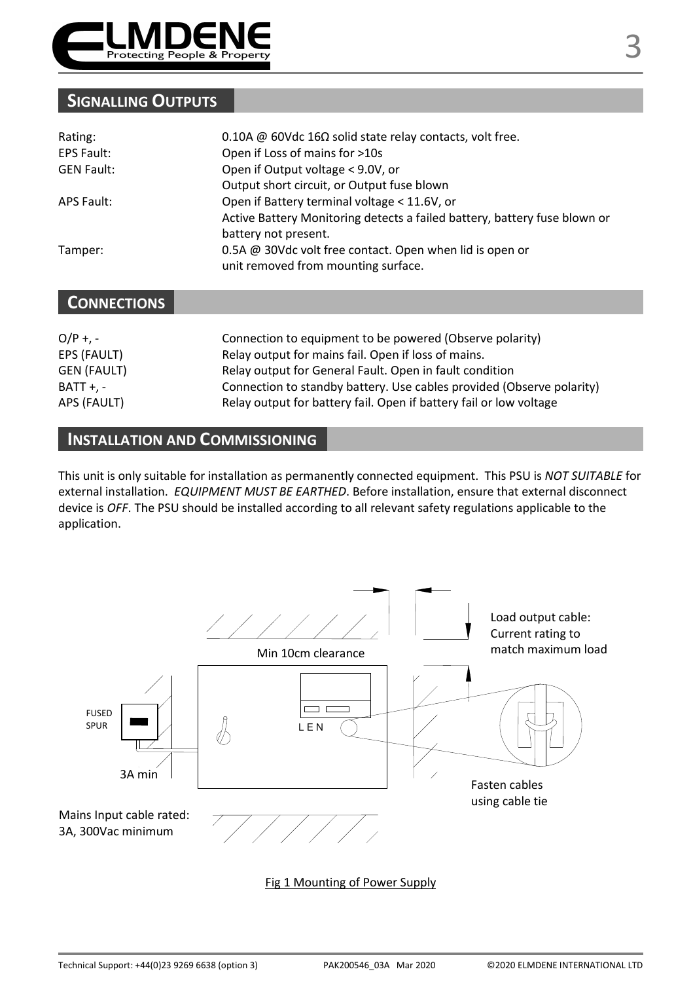

# **SIGNALLING OUTPUTS**

| Rating:           | 0.10A @ 60Vdc 16 $\Omega$ solid state relay contacts, volt free.                                |
|-------------------|-------------------------------------------------------------------------------------------------|
| <b>EPS Fault:</b> | Open if Loss of mains for >10s                                                                  |
| <b>GEN Fault:</b> | Open if Output voltage < 9.0V, or                                                               |
|                   | Output short circuit, or Output fuse blown                                                      |
| APS Fault:        | Open if Battery terminal voltage < 11.6V, or                                                    |
|                   | Active Battery Monitoring detects a failed battery, battery fuse blown or                       |
|                   | battery not present.                                                                            |
| Tamper:           | 0.5A @ 30Vdc volt free contact. Open when lid is open or<br>unit removed from mounting surface. |

## **CONNECTIONS**

| $O/P + -$          | Connection to equipment to be powered (Observe polarity)              |
|--------------------|-----------------------------------------------------------------------|
| EPS (FAULT)        | Relay output for mains fail. Open if loss of mains.                   |
| <b>GEN (FAULT)</b> | Relay output for General Fault. Open in fault condition               |
| <b>BATT +. -</b>   | Connection to standby battery. Use cables provided (Observe polarity) |
| APS (FAULT)        | Relay output for battery fail. Open if battery fail or low voltage    |

### **INSTALLATION AND COMMISSIONING**

This unit is only suitable for installation as permanently connected equipment. This PSU is *NOT SUITABLE* for external installation. *EQUIPMENT MUST BE EARTHED*. Before installation, ensure that external disconnect device is *OFF*. The PSU should be installed according to all relevant safety regulations applicable to the application.



Fig 1 Mounting of Power Supply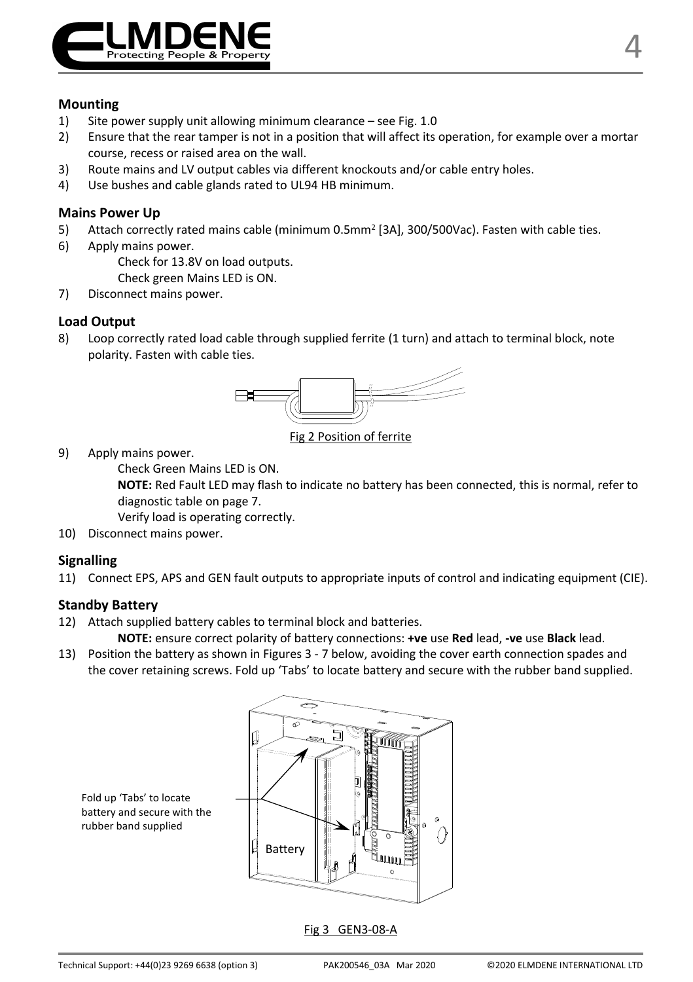

#### **Mounting**

- 1) Site power supply unit allowing minimum clearance see Fig. 1.0
- 2) Ensure that the rear tamper is not in a position that will affect its operation, for example over a mortar course, recess or raised area on the wall.
- 3) Route mains and LV output cables via different knockouts and/or cable entry holes.
- 4) Use bushes and cable glands rated to UL94 HB minimum.

#### **Mains Power Up**

- 5) Attach correctly rated mains cable (minimum 0.5mm<sup>2</sup> [3A], 300/500Vac). Fasten with cable ties.
- 6) Apply mains power.

Check for 13.8V on load outputs.

- Check green Mains LED is ON.
- 7) Disconnect mains power.

#### **Load Output**

8) Loop correctly rated load cable through supplied ferrite (1 turn) and attach to terminal block, note polarity. Fasten with cable ties.



Fig 2 Position of ferrite

9) Apply mains power.

Check Green Mains LED is ON.

**NOTE:** Red Fault LED may flash to indicate no battery has been connected, this is normal, refer to diagnostic table on page 7.

Verify load is operating correctly.

10) Disconnect mains power.

#### **Signalling**

11) Connect EPS, APS and GEN fault outputs to appropriate inputs of control and indicating equipment (CIE).

#### **Standby Battery**

12) Attach supplied battery cables to terminal block and batteries.

**NOTE:** ensure correct polarity of battery connections: **+ve** use **Red** lead, **-ve** use **Black** lead.

13) Position the battery as shown in Figures 3 - 7 below, avoiding the cover earth connection spades and the cover retaining screws. Fold up 'Tabs' to locate battery and secure with the rubber band supplied.



Fold up 'Tabs' to locate battery and secure with the rubber band supplied

Fig 3 GEN3-08-A

4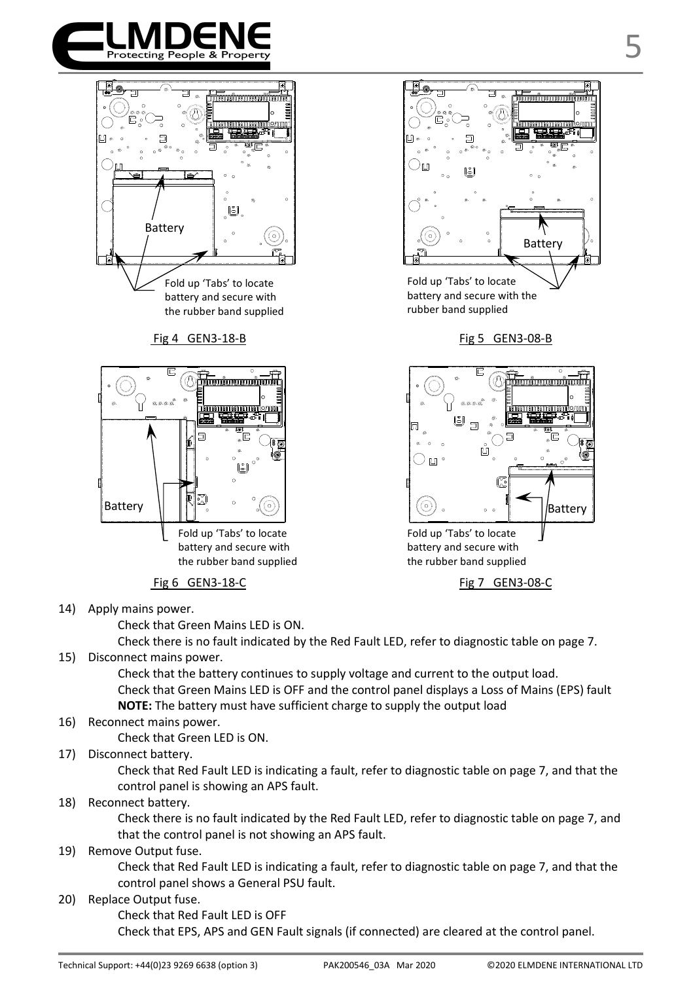



#### Fig 4 GEN3-18-B Fig 5 GEN3-08-B



## Fig 6 GEN3-18-C Fig 6 GEN3-08-C

14) Apply mains power.

Check that Green Mains LED is ON.

Check there is no fault indicated by the Red Fault LED, refer to diagnostic table on page 7. 15) Disconnect mains power.

> Check that the battery continues to supply voltage and current to the output load. Check that Green Mains LED is OFF and the control panel displays a Loss of Mains (EPS) fault **NOTE:** The battery must have sufficient charge to supply the output load

16) Reconnect mains power.

Check that Green LED is ON.

17) Disconnect battery.

Check that Red Fault LED is indicating a fault, refer to diagnostic table on page 7, and that the control panel is showing an APS fault.

18) Reconnect battery.

Check there is no fault indicated by the Red Fault LED, refer to diagnostic table on page 7, and that the control panel is not showing an APS fault.

#### 19) Remove Output fuse.

Check that Red Fault LED is indicating a fault, refer to diagnostic table on page 7, and that the control panel shows a General PSU fault.

20) Replace Output fuse.

Check that Red Fault LED is OFF

Check that EPS, APS and GEN Fault signals (if connected) are cleared at the control panel.

Battery

5



battery and secure with the rubber band supplied

Fold up 'Tabs' to locate battery and secure with the rubber band supplied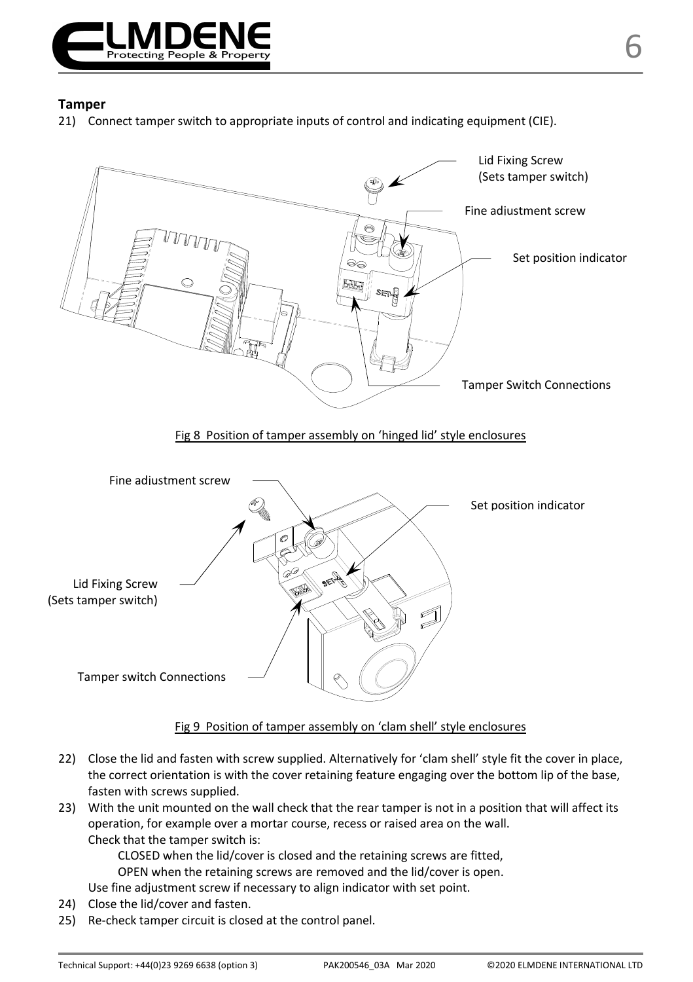

21) Connect tamper switch to appropriate inputs of control and indicating equipment (CIE).



#### Fig 9 Position of tamper assembly on 'clam shell' style enclosures

- 22) Close the lid and fasten with screw supplied. Alternatively for 'clam shell' style fit the cover in place, the correct orientation is with the cover retaining feature engaging over the bottom lip of the base, fasten with screws supplied.
- 23) With the unit mounted on the wall check that the rear tamper is not in a position that will affect its operation, for example over a mortar course, recess or raised area on the wall. Check that the tamper switch is:

CLOSED when the lid/cover is closed and the retaining screws are fitted,

OPEN when the retaining screws are removed and the lid/cover is open.

Use fine adjustment screw if necessary to align indicator with set point.

- 24) Close the lid/cover and fasten.
- 25) Re-check tamper circuit is closed at the control panel.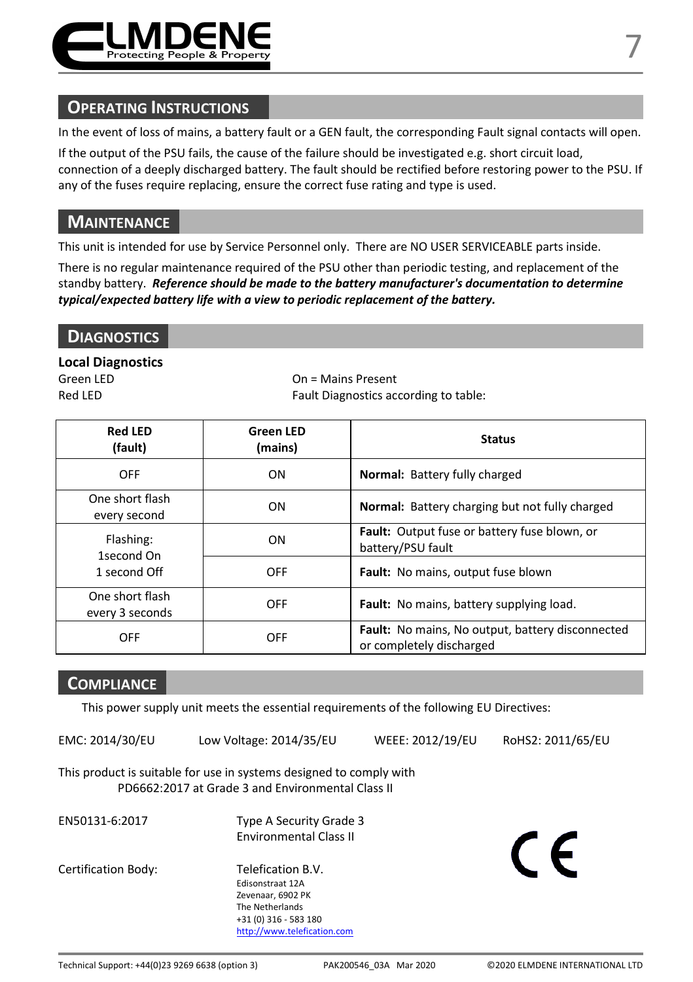

In the event of loss of mains, a battery fault or a GEN fault, the corresponding Fault signal contacts will open.

If the output of the PSU fails, the cause of the failure should be investigated e.g. short circuit load, connection of a deeply discharged battery. The fault should be rectified before restoring power to the PSU. If any of the fuses require replacing, ensure the correct fuse rating and type is used.

### **MAINTENANCE**

This unit is intended for use by Service Personnel only. There are NO USER SERVICEABLE parts inside.

There is no regular maintenance required of the PSU other than periodic testing, and replacement of the standby battery. *Reference should be made to the battery manufacturer's documentation to determine typical/expected battery life with a view to periodic replacement of the battery.* 

#### **Local Diagnostics**

Green LED **On = Mains Present** Red LED Fault Diagnostics according to table:

| <b>Red LED</b><br>(fault)               | <b>Green LED</b><br>(mains) | <b>Status</b>                                                                       |
|-----------------------------------------|-----------------------------|-------------------------------------------------------------------------------------|
| <b>OFF</b>                              | <b>ON</b>                   | <b>Normal: Battery fully charged</b>                                                |
| One short flash<br>every second         | ON                          | <b>Normal:</b> Battery charging but not fully charged                               |
| Flashing:<br>1second On<br>1 second Off | <b>ON</b>                   | <b>Fault:</b> Output fuse or battery fuse blown, or<br>battery/PSU fault            |
|                                         | OFF                         | <b>Fault:</b> No mains, output fuse blown                                           |
| One short flash<br>every 3 seconds      | OFF                         | Fault: No mains, battery supplying load.                                            |
| OFF                                     | OFF                         | <b>Fault:</b> No mains, No output, battery disconnected<br>or completely discharged |

### **COMPLIANCE**

This power supply unit meets the essential requirements of the following EU Directives:

EMC: 2014/30/EU Low Voltage: 2014/35/EU WEEE: 2012/19/EU RoHS2: 2011/65/EU

This product is suitable for use in systems designed to comply with PD6662:2017 at Grade 3 and Environmental Class II

- EN50131-6:2017 Type A Security Grade 3 Environmental Class II
- Certification Body: Telefication B.V.

 Edisonstraat 12A Zevenaar, 6902 PK The Netherlands +31 (0) 316 - 583 180

http://www.telefication.com

 $\epsilon$